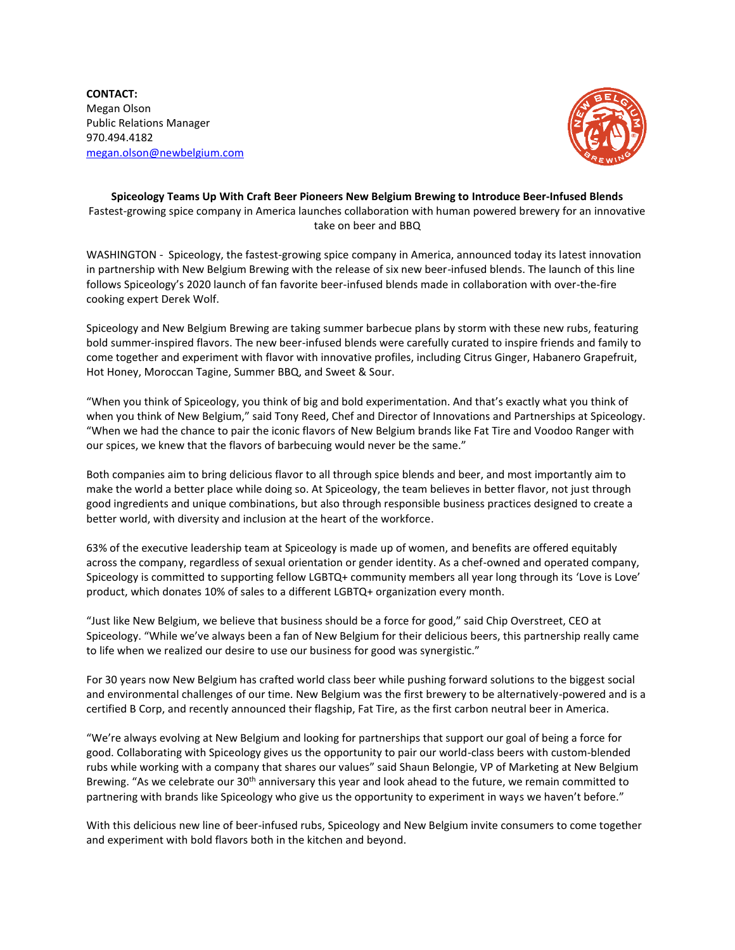**CONTACT:** Megan Olson Public Relations Manager 970.494.4182 [megan.olson@newbelgium.com](mailto:megan.olson@newbelgium.com)



## **Spiceology Teams Up With Craft Beer Pioneers New Belgium Brewing to Introduce Beer-Infused Blends** Fastest-growing spice company in America launches collaboration with human powered brewery for an innovative take on beer and BBQ

WASHINGTON - Spiceology, the fastest-growing spice company in America, announced today its latest innovation in partnership with New Belgium Brewing with the release of six new beer-infused blends. The launch of this line follows Spiceology's 2020 launch of fan favorite beer-infused blends made in collaboration with over-the-fire cooking expert Derek Wolf.

Spiceology and New Belgium Brewing are taking summer barbecue plans by storm with these new rubs, featuring bold summer-inspired flavors. The new beer-infused blends were carefully curated to inspire friends and family to come together and experiment with flavor with innovative profiles, including Citrus Ginger, Habanero Grapefruit, Hot Honey, Moroccan Tagine, Summer BBQ, and Sweet & Sour.

"When you think of Spiceology, you think of big and bold experimentation. And that's exactly what you think of when you think of New Belgium," said Tony Reed, Chef and Director of Innovations and Partnerships at Spiceology. "When we had the chance to pair the iconic flavors of New Belgium brands like Fat Tire and Voodoo Ranger with our spices, we knew that the flavors of barbecuing would never be the same."

Both companies aim to bring delicious flavor to all through spice blends and beer, and most importantly aim to make the world a better place while doing so. At Spiceology, the team believes in better flavor, not just through good ingredients and unique combinations, but also through responsible business practices designed to create a better world, with diversity and inclusion at the heart of the workforce.

63% of the executive leadership team at Spiceology is made up of women, and benefits are offered equitably across the company, regardless of sexual orientation or gender identity. As a chef-owned and operated company, Spiceology is committed to supporting fellow LGBTQ+ community members all year long through its 'Love is Love' product, which donates 10% of sales to a different LGBTQ+ organization every month.

"Just like New Belgium, we believe that business should be a force for good," said Chip Overstreet, CEO at Spiceology. "While we've always been a fan of New Belgium for their delicious beers, this partnership really came to life when we realized our desire to use our business for good was synergistic."

For 30 years now New Belgium has crafted world class beer while pushing forward solutions to the biggest social and environmental challenges of our time. New Belgium was the first brewery to be alternatively-powered and is a certified B Corp, and recently announced their flagship, Fat Tire, as the first carbon neutral beer in America.

"We're always evolving at New Belgium and looking for partnerships that support our goal of being a force for good. Collaborating with Spiceology gives us the opportunity to pair our world-class beers with custom-blended rubs while working with a company that shares our values" said Shaun Belongie, VP of Marketing at New Belgium Brewing. "As we celebrate our 30<sup>th</sup> anniversary this year and look ahead to the future, we remain committed to partnering with brands like Spiceology who give us the opportunity to experiment in ways we haven't before."

With this delicious new line of beer-infused rubs, Spiceology and New Belgium invite consumers to come together and experiment with bold flavors both in the kitchen and beyond.